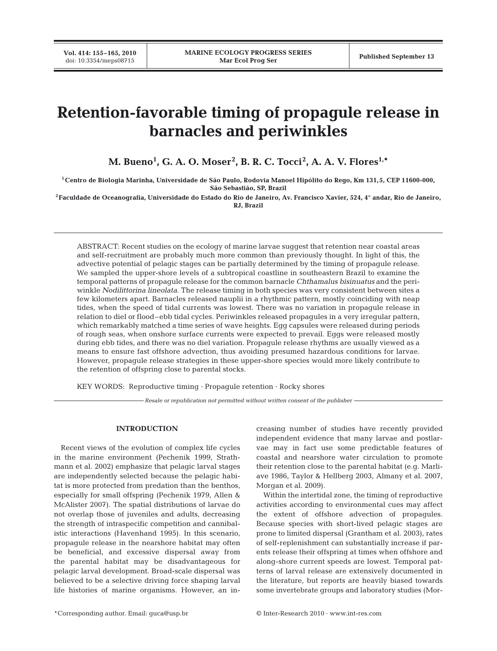# **Retention-favorable timing of propagule release in barnacles and periwinkles**

**M. Bueno1 , G. A. O. Moser<sup>2</sup> , B. R. C. Tocci<sup>2</sup> , A. A. V. Flores1,\***

**1Centro de Biologia Marinha, Universidade de São Paulo, Rodovia Manoel Hipólito do Rego, Km 131,5, CEP 11600-000, São Sebastião, SP, Brazil**

**2Faculdade de Oceanografia, Universidade do Estado do Rio de Janeiro, Av. Francisco Xavier, 524, 4° andar, Rio de Janeiro, RJ, Brazil**

ABSTRACT: Recent studies on the ecology of marine larvae suggest that retention near coastal areas and self-recruitment are probably much more common than previously thought. In light of this, the advective potential of pelagic stages can be partially determined by the timing of propagule release. We sampled the upper-shore levels of a subtropical coastline in southeastern Brazil to examine the temporal patterns of propagule release for the common barnacle *Chthamalus bisinuatus* and the periwinkle *Nodilittorina lineolata*. The release timing in both species was very consistent between sites a few kilometers apart. Barnacles released nauplii in a rhythmic pattern, mostly coinciding with neap tides, when the speed of tidal currents was lowest. There was no variation in propagule release in relation to diel or flood–ebb tidal cycles. Periwinkles released propagules in a very irregular pattern, which remarkably matched a time series of wave heights. Egg capsules were released during periods of rough seas, when onshore surface currents were expected to prevail. Eggs were released mostly during ebb tides, and there was no diel variation. Propagule release rhythms are usually viewed as a means to ensure fast offshore advection, thus avoiding presumed hazardous conditions for larvae. However, propagule release strategies in these upper-shore species would more likely contribute to the retention of offspring close to parental stocks.

KEY WORDS: Reproductive timing · Propagule retention · Rocky shores

*Resale or republication not permitted without written consent of the publisher*

### **INTRODUCTION**

Recent views of the evolution of complex life cycles in the marine environment (Pechenik 1999, Strathmann et al. 2002) emphasize that pelagic larval stages are independently selected because the pelagic habitat is more protected from predation than the benthos, especially for small offspring (Pechenik 1979, Allen & McAlister 2007). The spatial distributions of larvae do not overlap those of juveniles and adults, decreasing the strength of intraspecific competition and cannibalistic interactions (Havenhand 1995). In this scenario, propagule release in the nearshore habitat may often be beneficial, and excessive dispersal away from the parental habitat may be disadvantageous for pelagic larval development. Broad-scale dispersal was believed to be a selective driving force shaping larval life histories of marine organisms. However, an increasing number of studies have recently provided independent evidence that many larvae and postlarvae may in fact use some predictable features of coastal and nearshore water circulation to promote their retention close to the parental habitat (e.g. Marliave 1986, Taylor & Hellberg 2003, Almany et al. 2007, Morgan et al. 2009).

Within the intertidal zone, the timing of reproductive activities according to environmental cues may affect the extent of offshore advection of propagules. Because species with short-lived pelagic stages are prone to limited dispersal (Grantham et al. 2003), rates of self-replenishment can substantially increase if parents release their offspring at times when offshore and along-shore current speeds are lowest. Temporal patterns of larval release are extensively documented in the literature, but reports are heavily biased towards some invertebrate groups and laboratory studies (Mor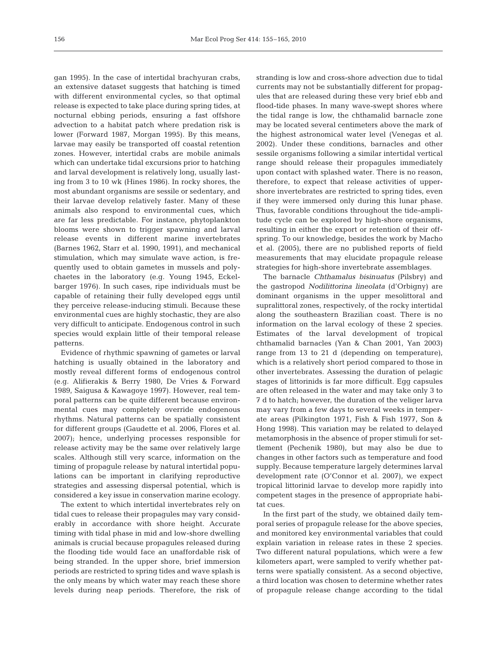gan 1995). In the case of intertidal brachyuran crabs, an extensive dataset suggests that hatching is timed with different environmental cycles, so that optimal release is expected to take place during spring tides, at nocturnal ebbing periods, ensuring a fast offshore advection to a habitat patch where predation risk is lower (Forward 1987, Morgan 1995). By this means, larvae may easily be transported off coastal retention zones. However, intertidal crabs are mobile animals which can undertake tidal excursions prior to hatching and larval development is relatively long, usually lasting from 3 to 10 wk (Hines 1986). In rocky shores, the most abundant organisms are sessile or sedentary, and their larvae develop relatively faster. Many of these animals also respond to environmental cues, which are far less predictable. For instance, phytoplankton blooms were shown to trigger spawning and larval release events in different marine invertebrates (Barnes 1962, Starr et al. 1990, 1991), and mechanical stimulation, which may simulate wave action, is frequently used to obtain gametes in mussels and polychaetes in the laboratory (e.g. Young 1945, Eckelbarger 1976). In such cases, ripe individuals must be capable of retaining their fully developed eggs until they perceive release-inducing stimuli. Because these environmental cues are highly stochastic, they are also very difficult to anticipate. Endogenous control in such species would explain little of their temporal release patterns.

Evidence of rhythmic spawning of gametes or larval hatching is usually obtained in the laboratory and mostly reveal different forms of endogenous control (e.g. Alifierakis & Berry 1980, De Vries & Forward 1989, Saigusa & Kawagoye 1997). However, real temporal patterns can be quite different because environmental cues may completely override endogenous rhythms. Natural patterns can be spatially consistent for different groups (Gaudette et al. 2006, Flores et al. 2007); hence, underlying processes responsible for release activity may be the same over relatively large scales. Although still very scarce, information on the timing of propagule release by natural intertidal populations can be important in clarifying reproductive strategies and assessing dispersal potential, which is considered a key issue in conservation marine ecology.

The extent to which intertidal invertebrates rely on tidal cues to release their propagules may vary considerably in accordance with shore height. Accurate timing with tidal phase in mid and low-shore dwelling animals is crucial because propagules released during the flooding tide would face an unaffordable risk of being stranded. In the upper shore, brief immersion periods are restricted to spring tides and wave splash is the only means by which water may reach these shore levels during neap periods. Therefore, the risk of stranding is low and cross-shore advection due to tidal currents may not be substantially different for propagules that are released during these very brief ebb and flood-tide phases. In many wave-swept shores where the tidal range is low, the chthamalid barnacle zone may be located several centimeters above the mark of the highest astronomical water level (Venegas et al. 2002). Under these conditions, barnacles and other sessile organisms following a similar intertidal vertical range should release their propagules immediately upon contact with splashed water. There is no reason, therefore, to expect that release activities of uppershore invertebrates are restricted to spring tides, even if they were immersed only during this lunar phase. Thus, favorable conditions throughout the tide-amplitude cycle can be explored by high-shore organisms, resulting in either the export or retention of their offspring. To our knowledge, besides the work by Macho et al. (2005), there are no published reports of field measurements that may elucidate propagule release strategies for high-shore invertebrate assemblages.

The barnacle *Chthamalus bisinuatus* (Pilsbry) and the gastropod *Nodilittorina lineolata* (d'Orbigny) are dominant organisms in the upper mesolittoral and supralittoral zones, respectively, of the rocky intertidal along the southeastern Brazilian coast. There is no information on the larval ecology of these 2 species. Estimates of the larval development of tropical chthamalid barnacles (Yan & Chan 2001, Yan 2003) range from 13 to 21 d (depending on temperature), which is a relatively short period compared to those in other invertebrates. Assessing the duration of pelagic stages of littorinids is far more difficult. Egg capsules are often released in the water and may take only 3 to 7 d to hatch; however, the duration of the veliger larva may vary from a few days to several weeks in temperate areas (Pilkington 1971, Fish & Fish 1977, Son & Hong 1998). This variation may be related to delayed metamorphosis in the absence of proper stimuli for settlement (Pechenik 1980), but may also be due to changes in other factors such as temperature and food supply. Because temperature largely determines larval development rate (O'Connor et al. 2007), we expect tropical littorinid larvae to develop more rapidly into competent stages in the presence of appropriate habitat cues.

In the first part of the study, we obtained daily temporal series of propagule release for the above species, and monitored key environmental variables that could explain variation in release rates in these 2 species. Two different natural populations, which were a few kilometers apart, were sampled to verify whether patterns were spatially consistent. As a second objective, a third location was chosen to determine whether rates of propagule release change according to the tidal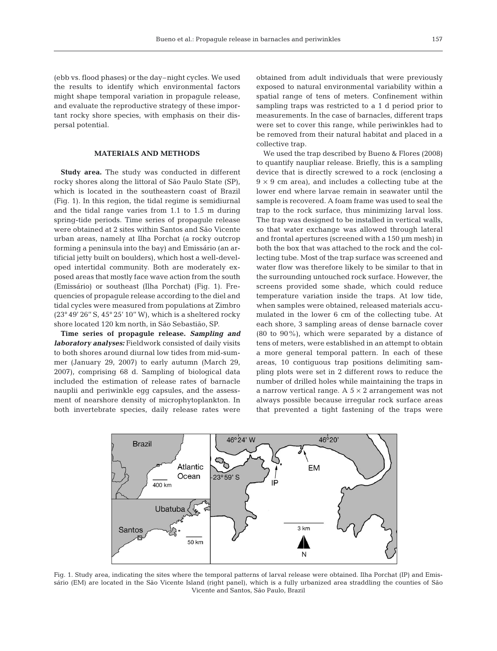(ebb vs. flood phases) or the day–night cycles. We used the results to identify which environmental factors might shape temporal variation in propagule release, and evaluate the reproductive strategy of these important rocky shore species, with emphasis on their dispersal potential.

## **MATERIALS AND METHODS**

**Study area.** The study was conducted in different rocky shores along the littoral of São Paulo State (SP), which is located in the southeastern coast of Brazil (Fig. 1). In this region, the tidal regime is semidiurnal and the tidal range varies from 1.1 to 1.5 m during spring-tide periods. Time series of propagule release were obtained at 2 sites within Santos and São Vicente urban areas, namely at Ilha Porchat (a rocky outcrop forming a peninsula into the bay) and Emissário (an artificial jetty built on boulders), which host a well-developed intertidal community. Both are moderately exposed areas that mostly face wave action from the south (Emissário) or southeast (Ilha Porchat) (Fig. 1). Frequencies of propagule release according to the diel and tidal cycles were measured from populations at Zimbro (23° 49' 26'' S, 45° 25' 10'' W), which is a sheltered rocky shore located 120 km north, in São Sebastião, SP.

**Time series of propagule release.** *Sampling and laboratory analyses:* Fieldwork consisted of daily visits to both shores around diurnal low tides from mid-summer (January 29, 2007) to early autumn (March 29, 2007), comprising 68 d. Sampling of biological data included the estimation of release rates of barnacle nauplii and periwinkle egg capsules, and the assessment of nearshore density of microphytoplankton. In both invertebrate species, daily release rates were

obtained from adult individuals that were previously exposed to natural environmental variability within a spatial range of tens of meters. Confinement within sampling traps was restricted to a 1 d period prior to measurements. In the case of barnacles, different traps were set to cover this range, while periwinkles had to be removed from their natural habitat and placed in a collective trap.

We used the trap described by Bueno & Flores (2008) to quantify naupliar release. Briefly, this is a sampling device that is directly screwed to a rock (enclosing a  $9 \times 9$  cm area), and includes a collecting tube at the lower end where larvae remain in seawater until the sample is recovered. A foam frame was used to seal the trap to the rock surface, thus minimizing larval loss. The trap was designed to be installed in vertical walls, so that water exchange was allowed through lateral and frontal apertures (screened with a 150 µm mesh) in both the box that was attached to the rock and the collecting tube. Most of the trap surface was screened and water flow was therefore likely to be similar to that in the surrounding untouched rock surface. However, the screens provided some shade, which could reduce temperature variation inside the traps. At low tide, when samples were obtained, released materials accumulated in the lower 6 cm of the collecting tube. At each shore, 3 sampling areas of dense barnacle cover (80 to 90%), which were separated by a distance of tens of meters, were established in an attempt to obtain a more general temporal pattern. In each of these areas, 10 contiguous trap positions delimiting sampling plots were set in 2 different rows to reduce the number of drilled holes while maintaining the traps in a narrow vertical range. A  $5 \times 2$  arrangement was not always possible because irregular rock surface areas that prevented a tight fastening of the traps were



Fig. 1. Study area, indicating the sites where the temporal patterns of larval release were obtained. Ilha Porchat (IP) and Emissário (EM) are located in the São Vicente Island (right panel), which is a fully urbanized area straddling the counties of São Vicente and Santos, São Paulo, Brazil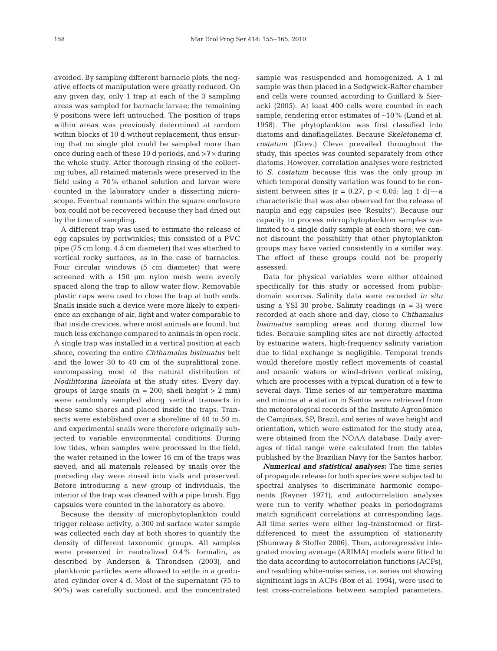avoided. By sampling different barnacle plots, the negative effects of manipulation were greatly reduced. On any given day, only 1 trap at each of the 3 sampling areas was sampled for barnacle larvae; the remaining 9 positions were left untouched. The position of traps within areas was previously determined at random within blocks of 10 d without replacement, thus ensuring that no single plot could be sampled more than once during each of these 10 d periods, and >7× during the whole study. After thorough rinsing of the collecting tubes, all retained materials were preserved in the field using a 70% ethanol solution and larvae were counted in the laboratory under a dissecting microscope. Eventual remnants within the square enclosure box could not be recovered because they had dried out by the time of sampling.

A different trap was used to estimate the release of egg capsules by periwinkles; this consisted of a PVC pipe (75 cm long, 4.5 cm diameter) that was attached to vertical rocky surfaces, as in the case of barnacles. Four circular windows (5 cm diameter) that were screened with a 150 µm nylon mesh were evenly spaced along the trap to allow water flow. Removable plastic caps were used to close the trap at both ends. Snails inside such a device were more likely to experience an exchange of air, light and water comparable to that inside crevices, where most animals are found, but much less exchange compared to animals in open rock. A single trap was installed in a vertical position at each shore, covering the entire *Chthamalus bisinuatus* belt and the lower 30 to 40 cm of the supralittoral zone, encompassing most of the natural distribution of *Nodilittorina lineolata* at the study sites. Every day, groups of large snails  $(n = 200;$  shell height  $> 2$  mm) were randomly sampled along vertical transects in these same shores and placed inside the traps. Transects were established over a shoreline of 40 to 50 m, and experimental snails were therefore originally subjected to variable environmental conditions. During low tides, when samples were processed in the field, the water retained in the lower 16 cm of the traps was sieved, and all materials released by snails over the preceding day were rinsed into vials and preserved. Before introducing a new group of individuals, the interior of the trap was cleaned with a pipe brush. Egg capsules were counted in the laboratory as above.

Because the density of microphytoplankton could trigger release activity, a 300 ml surface water sample was collected each day at both shores to quantify the density of different taxonomic groups. All samples were preserved in neutralized 0.4% formalin, as described by Andersen & Throndsen (2003), and planktonic particles were allowed to settle in a graduated cylinder over 4 d. Most of the supernatant (75 to 90%) was carefully suctioned, and the concentrated sample was resuspended and homogenized. A 1 ml sample was then placed in a Sedgwick-Rafter chamber and cells were counted according to Guillard & Sieracki (2005). At least 400 cells were counted in each sample, rendering error estimates of ~10% (Lund et al. 1958). The phytoplankton was first classified into diatoms and dinoflagellates. Because *Skeletonema* cf. *costatum* (Grev.) Cleve prevailed throughout the study, this species was counted separately from other diatoms. However, correlation analyses were restricted to *S. costatum* because this was the only group in which temporal density variation was found to be consistent between sites ( $r = 0.27$ ,  $p < 0.05$ ; lag 1 d) — a characteristic that was also observed for the release of nauplii and egg capsules (see 'Results'). Because our capacity to process microphytoplankton samples was limited to a single daily sample at each shore, we cannot discount the possibility that other phytoplankton groups may have varied consistently in a similar way. The effect of these groups could not be properly assessed.

Data for physical variables were either obtained specifically for this study or accessed from publicdomain sources. Salinity data were recorded *in situ* using a YSI 30 probe. Salinity readings  $(n = 3)$  were recorded at each shore and day, close to *Chthamalus bisinuatus* sampling areas and during diurnal low tides. Because sampling sites are not directly affected by estuarine waters, high-frequency salinity variation due to tidal exchange is negligible. Temporal trends would therefore mostly reflect movements of coastal and oceanic waters or wind-driven vertical mixing, which are processes with a typical duration of a few to several days. Time series of air temperature maxima and minima at a station in Santos were retrieved from the meteorological records of the Instituto Agronômico de Campinas, SP, Brazil, and series of wave height and orientation, which were estimated for the study area, were obtained from the NOAA database. Daily averages of tidal range were calculated from the tables published by the Brazilian Navy for the Santos harbor.

*Numerical and statistical analyses:* The time series of propagule release for both species were subjected to spectral analyses to discriminate harmonic components (Rayner 1971), and autocorrelation analyses were run to verify whether peaks in periodograms match significant correlations at corresponding lags. All time series were either log-transformed or firstdifferenced to meet the assumption of stationarity (Shumway & Stoffer 2006). Then, autoregressive integrated moving average (ARIMA) models were fitted to the data according to autocorrelation functions (ACFs), and resulting white-noise series, i.e. series not showing significant lags in ACFs (Box et al. 1994), were used to test cross-correlations between sampled parameters.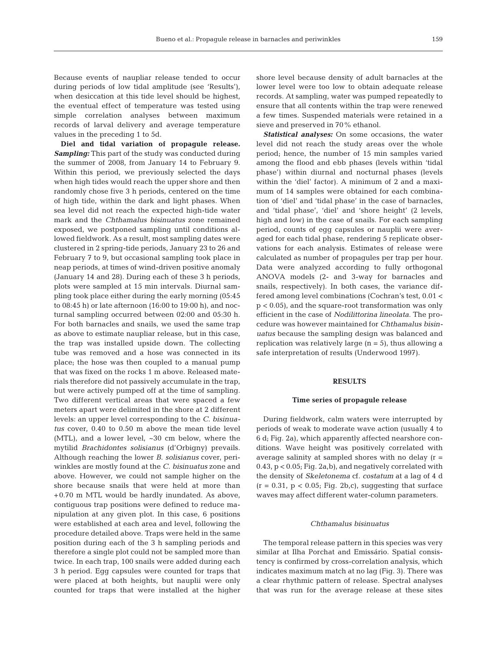Because events of naupliar release tended to occur during periods of low tidal amplitude (see 'Results'), when desiccation at this tide level should be highest, the eventual effect of temperature was tested using simple correlation analyses between maximum records of larval delivery and average temperature values in the preceding 1 to 5d.

**Diel and tidal variation of propagule release.** *Sampling:* This part of the study was conducted during the summer of 2008, from January 14 to February 9. Within this period, we previously selected the days when high tides would reach the upper shore and then randomly chose five 3 h periods, centered on the time of high tide, within the dark and light phases. When sea level did not reach the expected high-tide water mark and the *Chthamalus bisinuatus* zone remained exposed, we postponed sampling until conditions allowed fieldwork. As a result, most sampling dates were clustered in 2 spring-tide periods, January 23 to 26 and February 7 to 9, but occasional sampling took place in neap periods, at times of wind-driven positive anomaly (January 14 and 28). During each of these 3 h periods, plots were sampled at 15 min intervals. Diurnal sampling took place either during the early morning (05:45 to 08:45 h) or late afternoon (16:00 to 19:00 h), and nocturnal sampling occurred between 02:00 and 05:30 h. For both barnacles and snails, we used the same trap as above to estimate naupliar release, but in this case, the trap was installed upside down. The collecting tube was removed and a hose was connected in its place; the hose was then coupled to a manual pump that was fixed on the rocks 1 m above. Released materials therefore did not passively accumulate in the trap, but were actively pumped off at the time of sampling. Two different vertical areas that were spaced a few meters apart were delimited in the shore at 2 different levels: an upper level corresponding to the *C. bisinuatus* cover, 0.40 to 0.50 m above the mean tide level (MTL), and a lower level, ~30 cm below, where the mytilid *Brachidontes solisianus* (d'Orbigny) prevails. Although reaching the lower *B. solisianus* cover, periwinkles are mostly found at the *C. bisinuatus* zone and above. However, we could not sample higher on the shore because snails that were held at more than +0.70 m MTL would be hardly inundated. As above, contiguous trap positions were defined to reduce manipulation at any given plot. In this case, 6 positions were established at each area and level, following the procedure detailed above. Traps were held in the same position during each of the 3 h sampling periods and therefore a single plot could not be sampled more than twice. In each trap, 100 snails were added during each 3 h period. Egg capsules were counted for traps that were placed at both heights, but nauplii were only counted for traps that were installed at the higher shore level because density of adult barnacles at the lower level were too low to obtain adequate release records. At sampling, water was pumped repeatedly to ensure that all contents within the trap were renewed a few times. Suspended materials were retained in a sieve and preserved in 70% ethanol.

*Statistical analyses:* On some occasions, the water level did not reach the study areas over the whole period; hence, the number of 15 min samples varied among the flood and ebb phases (levels within 'tidal phase') within diurnal and nocturnal phases (levels within the 'diel' factor). A minimum of 2 and a maximum of 14 samples were obtained for each combination of 'diel' and 'tidal phase' in the case of barnacles, and 'tidal phase', 'diel' and 'shore height' (2 levels, high and low) in the case of snails. For each sampling period, counts of egg capsules or nauplii were averaged for each tidal phase, rendering 5 replicate observations for each analysis. Estimates of release were calculated as number of propagules per trap per hour. Data were analyzed according to fully orthogonal ANOVA models (2- and 3-way for barnacles and snails, respectively). In both cases, the variance differed among level combinations (Cochran's test, 0.01 < p < 0.05), and the square-root transformation was only efficient in the case of *Nodilittorina lineolata*. The procedure was however maintained for *Chthamalus bisinuatus* because the sampling design was balanced and replication was relatively large  $(n = 5)$ , thus allowing a safe interpretation of results (Underwood 1997).

## **RESULTS**

#### **Time series of propagule release**

During fieldwork, calm waters were interrupted by periods of weak to moderate wave action (usually 4 to 6 d; Fig. 2a), which apparently affected nearshore conditions. Wave height was positively correlated with average salinity at sampled shores with no delay  $(r =$ 0.43, p < 0.05; Fig. 2a,b), and negatively correlated with the density of *Skeletonema* cf. *costatum* at a lag of 4 d  $(r = 0.31, p < 0.05;$  Fig. 2b,c), suggesting that surface waves may affect different water-column parameters.

# *Chthamalus bisinuatus*

The temporal release pattern in this species was very similar at Ilha Porchat and Emissário. Spatial consistency is confirmed by cross-correlation analysis, which indicates maximum match at no lag (Fig. 3). There was a clear rhythmic pattern of release. Spectral analyses that was run for the average release at these sites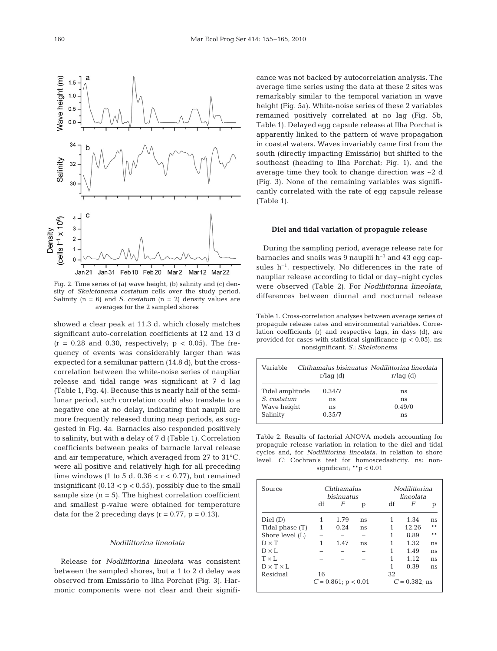

Fig. 2. Time series of (a) wave height, (b) salinity and (c) density of *Skeletonema costatum* cells over the study period. Salinity (n = 6) and *S. costatum* (n = 2) density values are averages for the 2 sampled shores

showed a clear peak at 11.3 d, which closely matches significant auto-correlation coefficients at 12 and 13 d  $(r = 0.28$  and 0.30, respectively;  $p < 0.05$ ). The frequency of events was considerably larger than was expected for a semilunar pattern (14.8 d), but the crosscorrelation between the white-noise series of naupliar release and tidal range was significant at 7 d lag (Table 1, Fig. 4). Because this is nearly half of the semilunar period, such correlation could also translate to a negative one at no delay, indicating that nauplii are more frequently released during neap periods, as suggested in Fig. 4a. Barnacles also responded positively to salinity, but with a delay of 7 d (Table 1). Correlation coefficients between peaks of barnacle larval release and air temperature, which averaged from 27 to 31°C, were all positive and relatively high for all preceding time windows (1 to 5 d,  $0.36 < r < 0.77$ ), but remained insignificant  $(0.13 < p < 0.55)$ , possibly due to the small sample size  $(n = 5)$ . The highest correlation coefficient and smallest p*-*value were obtained for temperature data for the 2 preceding days ( $r = 0.77$ ,  $p = 0.13$ ).

# *Nodilittorina lineolata*

Release for *Nodilittorina lineolata* was consistent between the sampled shores, but a 1 to 2 d delay was observed from Emissário to Ilha Porchat (Fig. 3). Harmonic components were not clear and their significance was not backed by autocorrelation analysis. The average time series using the data at these 2 sites was remarkably similar to the temporal variation in wave height (Fig. 5a). White-noise series of these 2 variables remained positively correlated at no lag (Fig. 5b, Table 1). Delayed egg capsule release at Ilha Porchat is apparently linked to the pattern of wave propagation in coastal waters. Waves invariably came first from the south (directly impacting Emissário) but shifted to the southeast (heading to Ilha Porchat; Fig. 1), and the average time they took to change direction was ~2 d (Fig. 3). None of the remaining variables was significantly correlated with the rate of egg capsule release (Table 1).

#### **Diel and tidal variation of propagule release**

During the sampling period, average release rate for barnacles and snails was 9 nauplii  $h^{-1}$  and 43 egg capsules  $h^{-1}$ , respectively. No differences in the rate of naupliar release according to tidal or day–night cycles were observed (Table 2). For *Nodilittorina lineolata*, differences between diurnal and nocturnal release

Table 1. Cross-correlation analyses between average series of propagule release rates and environmental variables. Correlation coefficients (r) and respective lags, in days (d), are provided for cases with statistical significance ( $p < 0.05$ ). ns: nonsignificant. *S*.: *Skeletonema*

| Variable        | r/aq(d) | Chthamalus bisinuatus Nodilittorina lineolata<br>$r/laq$ (d) |  |  |
|-----------------|---------|--------------------------------------------------------------|--|--|
| Tidal amplitude | 0.34/7  | ns                                                           |  |  |
| S. costatum     | ns      | ns                                                           |  |  |
| Wave height     | ns      | 0.49/0                                                       |  |  |
| Salinity        | 0.35/7  | ns                                                           |  |  |

Table 2. Results of factorial ANOVA models accounting for propagule release variation in relation to the diel and tidal cycles and, for *Nodilittorina lineolata*, in relation to shore level. *C*: Cochran's test for homoscedasticity. ns: nonsignificant;  $*$ <sub>p</sub> < 0.01

| Source                  | Chthamalus<br>bisinuatus |      |    | <i>Nodilittorina</i><br>lineolata |       |     |
|-------------------------|--------------------------|------|----|-----------------------------------|-------|-----|
|                         | df                       | F    | р  | df                                | F     | р   |
| Diel (D)                | 1                        | 1.79 | ns | 1                                 | 1.34  | ns  |
| Tidal phase (T)         | 1                        | 0.24 | ns |                                   | 12.26 |     |
| Shore level (L)         |                          |      |    | 1                                 | 8.89  | * * |
| $D \times T$            | 1                        | 1.47 | ns | 1                                 | 1.32  | ns  |
| $D \times L$            |                          |      |    | 1                                 | 1.49  | ns  |
| $T \times L$            |                          |      |    | 1                                 | 1.12  | ns  |
| $D \times T \times I$ . |                          |      |    | 1                                 | 0.39  | ns  |
| Residual                | 16                       |      |    | 32                                |       |     |
|                         | $C = 0.861$ ; p < 0.01   |      |    | $C = 0.382$ ; ns                  |       |     |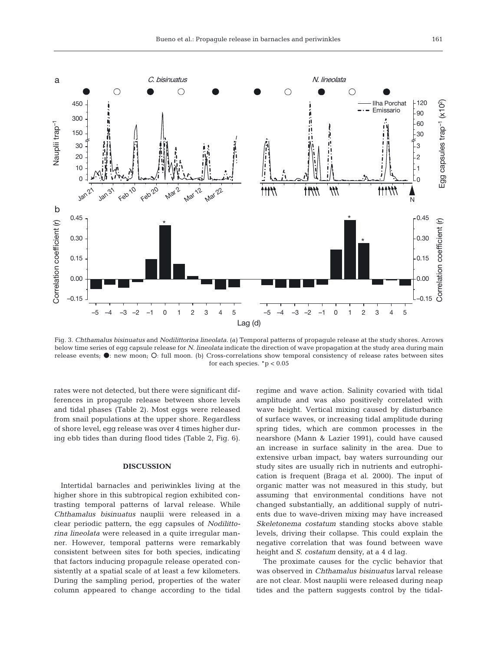

Fig. 3. *Chthamalus bisinuatus* and *Nodilittorina lineolata*. (a) Temporal patterns of propagule release at the study shores. Arrows below time series of egg capsule release for *N. lineolata* indicate the direction of wave propagation at the study area during main release events;  $\bullet$ : new moon;  $\bullet$ : full moon. (b) Cross-correlations show temporal consistency of release rates between sites for each species.  $*p < 0.05$ 

rates were not detected, but there were significant differences in propagule release between shore levels and tidal phases (Table 2). Most eggs were released from snail populations at the upper shore. Regardless of shore level, egg release was over 4 times higher during ebb tides than during flood tides (Table 2, Fig. 6).

# **DISCUSSION**

Intertidal barnacles and periwinkles living at the higher shore in this subtropical region exhibited contrasting temporal patterns of larval release. While *Chthamalus bisinuatus* nauplii were released in a clear periodic pattern, the egg capsules of *Nodilittorina lineolata* were released in a quite irregular manner. However, temporal patterns were remarkably consistent between sites for both species, indicating that factors inducing propagule release operated consistently at a spatial scale of at least a few kilometers. During the sampling period, properties of the water column appeared to change according to the tidal regime and wave action. Salinity covaried with tidal amplitude and was also positively correlated with wave height. Vertical mixing caused by disturbance of surface waves, or increasing tidal amplitude during spring tides, which are common processes in the nearshore (Mann & Lazier 1991), could have caused an increase in surface salinity in the area. Due to extensive urban impact, bay waters surrounding our study sites are usually rich in nutrients and eutrophication is frequent (Braga et al. 2000). The input of organic matter was not measured in this study, but assuming that environmental conditions have not changed substantially, an additional supply of nutrients due to wave-driven mixing may have increased *Skeletonema costatum* standing stocks above stable levels, driving their collapse. This could explain the negative correlation that was found between wave height and *S. costatum* density, at a 4 d lag.

The proximate causes for the cyclic behavior that was observed in *Chthamalus bisinuatus* larval release are not clear. Most nauplii were released during neap tides and the pattern suggests control by the tidal-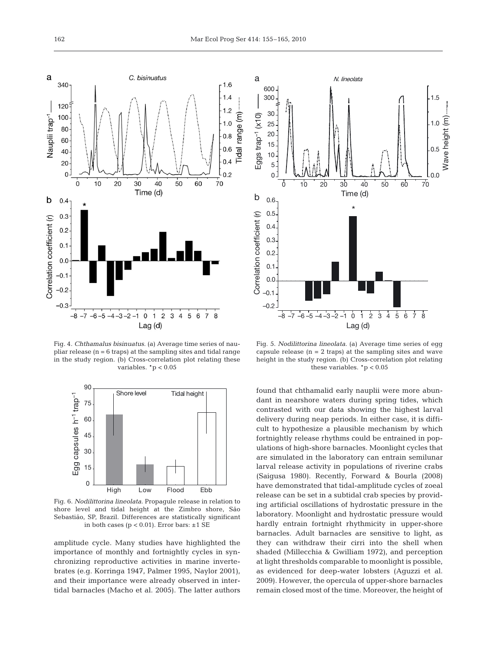

Fig. 4. *Chthamalus bisinuatus*. (a) Average time series of naupliar release  $(n = 6$  traps) at the sampling sites and tidal range in the study region. (b) Cross-correlation plot relating these variables.  $*<sub>p</sub> < 0.05$ 



Fig. 6. *Nodilittorina lineolata*. Propagule release in relation to shore level and tidal height at the Zimbro shore, São Sebastião, SP, Brazil. Differences are statistically significant in both cases ( $p < 0.01$ ). Error bars:  $\pm 1$  SE

amplitude cycle. Many studies have highlighted the importance of monthly and fortnightly cycles in synchronizing reproductive activities in marine invertebrates (e.g. Korringa 1947, Palmer 1995, Naylor 2001), and their importance were already observed in intertidal barnacles (Macho et al. 2005). The latter authors



Fig. 5. *Nodilittorina lineolata*. (a) Average time series of egg capsule release  $(n = 2$  traps) at the sampling sites and wave height in the study region. (b) Cross-correlation plot relating these variables.  $*<sub>p</sub> < 0.05$ 

found that chthamalid early nauplii were more abundant in nearshore waters during spring tides, which contrasted with our data showing the highest larval delivery during neap periods. In either case, it is difficult to hypothesize a plausible mechanism by which fortnightly release rhythms could be entrained in populations of high-shore barnacles. Moonlight cycles that are simulated in the laboratory can entrain semilunar larval release activity in populations of riverine crabs (Saigusa 1980). Recently, Forward & Bourla (2008) have demonstrated that tidal-amplitude cycles of zoeal release can be set in a subtidal crab species by providing artificial oscillations of hydrostatic pressure in the laboratory. Moonlight and hydrostatic pressure would hardly entrain fortnight rhythmicity in upper-shore barnacles. Adult barnacles are sensitive to light, as they can withdraw their cirri into the shell when shaded (Millecchia & Gwilliam 1972), and perception at light thresholds comparable to moonlight is possible, as evidenced for deep-water lobsters (Aguzzi et al. 2009). However, the opercula of upper-shore barnacles remain closed most of the time. Moreover, the height of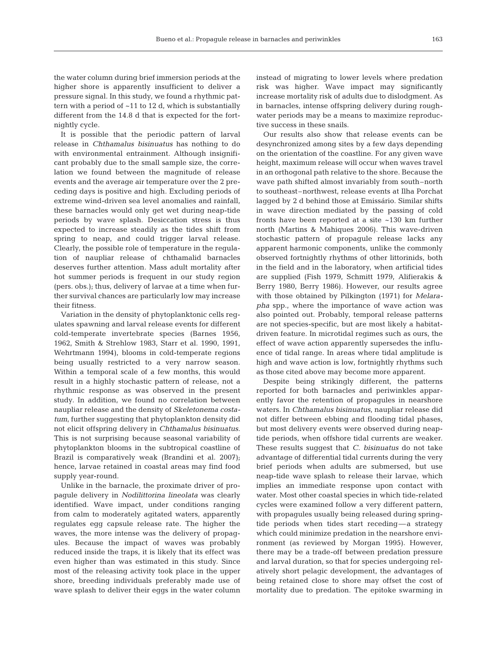the water column during brief immersion periods at the higher shore is apparently insufficient to deliver a pressure signal. In this study, we found a rhythmic pattern with a period of  $~11$  to 12 d, which is substantially different from the 14.8 d that is expected for the fortnightly cycle.

It is possible that the periodic pattern of larval release in *Chthamalus bisinuatus* has nothing to do with environmental entrainment. Although insignificant probably due to the small sample size, the correlation we found between the magnitude of release events and the average air temperature over the 2 preceding days is positive and high. Excluding periods of extreme wind-driven sea level anomalies and rainfall, these barnacles would only get wet during neap-tide periods by wave splash. Desiccation stress is thus expected to increase steadily as the tides shift from spring to neap, and could trigger larval release. Clearly, the possible role of temperature in the regulation of naupliar release of chthamalid barnacles deserves further attention. Mass adult mortality after hot summer periods is frequent in our study region (pers. obs.); thus, delivery of larvae at a time when further survival chances are particularly low may increase their fitness.

Variation in the density of phytoplanktonic cells regulates spawning and larval release events for different cold-temperate invertebrate species (Barnes 1956, 1962, Smith & Strehlow 1983, Starr et al. 1990, 1991, Wehrtmann 1994), blooms in cold-temperate regions being usually restricted to a very narrow season. Within a temporal scale of a few months, this would result in a highly stochastic pattern of release, not a rhythmic response as was observed in the present study. In addition, we found no correlation between naupliar release and the density of *Skeletonema costatum*, further suggesting that phytoplankton density did not elicit offspring delivery in *Chthamalus bisinuatus*. This is not surprising because seasonal variability of phytoplankton blooms in the subtropical coastline of Brazil is comparatively weak (Brandini et al. 2007); hence, larvae retained in coastal areas may find food supply year-round.

Unlike in the barnacle, the proximate driver of propagule delivery in *Nodilittorina lineolata* was clearly identified. Wave impact, under conditions ranging from calm to moderately agitated waters, apparently regulates egg capsule release rate. The higher the waves, the more intense was the delivery of propagules. Because the impact of waves was probably reduced inside the traps, it is likely that its effect was even higher than was estimated in this study. Since most of the releasing activity took place in the upper shore, breeding individuals preferably made use of wave splash to deliver their eggs in the water column

instead of migrating to lower levels where predation risk was higher. Wave impact may significantly increase mortality risk of adults due to dislodgment. As in barnacles, intense offspring delivery during roughwater periods may be a means to maximize reproductive success in these snails.

Our results also show that release events can be desynchronized among sites by a few days depending on the orientation of the coastline. For any given wave height, maximum release will occur when waves travel in an orthogonal path relative to the shore. Because the wave path shifted almost invariably from south–north to southeast–northwest, release events at Ilha Porchat lagged by 2 d behind those at Emissário. Similar shifts in wave direction mediated by the passing of cold fronts have been reported at a site ~130 km further north (Martins & Mahiques 2006). This wave-driven stochastic pattern of propagule release lacks any apparent harmonic components, unlike the commonly observed fortnightly rhythms of other littorinids, both in the field and in the laboratory, when artificial tides are supplied (Fish 1979, Schmitt 1979, Alifierakis & Berry 1980, Berry 1986). However, our results agree with those obtained by Pilkington (1971) for *Melarapha* spp., where the importance of wave action was also pointed out. Probably, temporal release patterns are not species-specific, but are most likely a habitatdriven feature. In microtidal regimes such as ours, the effect of wave action apparently supersedes the influence of tidal range. In areas where tidal amplitude is high and wave action is low, fortnightly rhythms such as those cited above may become more apparent.

Despite being strikingly different, the patterns reported for both barnacles and periwinkles apparently favor the retention of propagules in nearshore waters. In *Chthamalus bisinuatus*, naupliar release did not differ between ebbing and flooding tidal phases, but most delivery events were observed during neaptide periods, when offshore tidal currents are weaker. These results suggest that *C. bisinuatus* do not take advantage of differential tidal currents during the very brief periods when adults are submersed, but use neap-tide wave splash to release their larvae, which implies an immediate response upon contact with water. Most other coastal species in which tide-related cycles were examined follow a very different pattern, with propagules usually being released during springtide periods when tides start receding—a strategy which could minimize predation in the nearshore environment (as reviewed by Morgan 1995). However, there may be a trade-off between predation pressure and larval duration, so that for species undergoing relatively short pelagic development, the advantages of being retained close to shore may offset the cost of mortality due to predation. The epitoke swarming in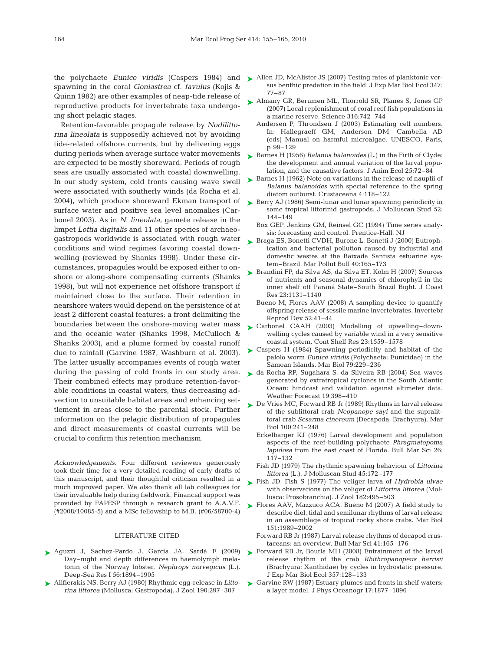spawning in the coral *Goniastrea* cf. *favulus* (Kojis & Quinn 1982) are other examples of neap-tide release of reproductive products for invertebrate taxa undergoing short pelagic stages.

Retention-favorable propagule release by *Nodilittorina lineolata* is supposedly achieved not by avoiding tide-related offshore currents, but by delivering eggs during periods when average surface water movements are expected to be mostly shoreward. Periods of rough seas are usually associated with coastal downwelling. In our study system, cold fronts causing wave swell were associated with southerly winds (da Rocha et al. 2004), which produce shoreward Ekman transport of surface water and positive sea level anomalies (Carbonel 2003). As in *N. lineolata*, gamete release in the limpet *Lottia digitalis* and 11 other species of archaeogastropods worldwide is associated with rough water conditions and wind regimes favoring coastal downwelling (reviewed by Shanks 1998). Under these circumstances, propagules would be exposed either to onshore or along-shore compensating currents (Shanks 1998), but will not experience net offshore transport if maintained close to the surface. Their retention in nearshore waters would depend on the persistence of at least 2 different coastal features: a front delimiting the boundaries between the onshore-moving water mass and the oceanic water (Shanks 1998, McCulloch & Shanks 2003), and a plume formed by coastal runoff due to rainfall (Garvine 1987, Washburn et al. 2003). The latter usually accompanies events of rough water during the passing of cold fronts in our study area. Their combined effects may produce retention-favorable conditions in coastal waters, thus decreasing advection to unsuitable habitat areas and enhancing settlement in areas close to the parental stock. Further information on the pelagic distribution of propagules and direct measurements of coastal currents will be crucial to confirm this retention mechanism.

*Acknowledgements*. Four different reviewers generously took their time for a very detailed reading of early drafts of this manuscript, and their thoughtful criticism resulted in a much improved paper. We also thank all lab colleagues for their invaluable help during fieldwork. Financial support was provided by FAPESP through a research grant to A.A.V.F. (#2008/10085-5) and a MSc fellowship to M.B. (#06/58700-4)

#### LITERATURE CITED

- Aguzzi J, Sachez-Pardo J, García JA, Sardá F (2009) ➤ Day–night and depth differences in haemolymph melatonin of the Norway lobster, *Nephrops norvegicus* (L.). Deep-Sea Res I 56:1894–1905
- Alifierakis NS, Berry AJ (1980) Rhythmic egg-release in *Litto-*➤ *rina littorea* (Mollusca: Gastropoda). J Zool 190:297–307
- the polychaete *Eunice viridis* (Caspers 1984) and Allen JD, McAlister JS (2007) Testing rates of planktonic versus benthic predation in the field. J Exp Mar Biol Ecol 347: 77–87
	- ► Almany GR, Berumen ML, Thorrold SR, Planes S, Jones GP (2007) Local replenishment of coral reef fish populations in a marine reserve. Science 316:742–744
		- Andersen P, Throndsen J (2003) Estimating cell numbers. In: Hallegraeff GM, Anderson DM, Cambella AD (eds) Manual on harmful microalgae. UNESCO, Paris, p 99–129
	- ► Barnes H (1956) *Balanus balanoides* (L.) in the Firth of Clyde: the development and annual variation of the larval population, and the causative factors. J Anim Ecol 25:72–84
	- ▶ Barnes H (1962) Note on variations in the release of nauplii of *Balanus balanoides* with special reference to the spring diatom outburst. Crustaceana 4:118–122
	- ► Berry AJ (1986) Semi-lunar and lunar spawning periodicity in some tropical littorinid gastropods. J Molluscan Stud 52: 144–149
		- Box GEP, Jenkins GM, Reinsel GC (1994) Time series analysis: forecasting and control. Prentice-Hall, NJ
	- ► Braga ES, Bonetti CVDH, Burone L, Bonetti J (2000) Eutrophication and bacterial pollution caused by industrial and domestic wastes at the Baixada Santista estuarine system–Brazil. Mar Pollut Bull 40:165–173
	- ► Brandini FP, da Silva AS, da Silva ET, Kolm H (2007) Sources of nutrients and seasonal dynamics of chlorophyll in the inner shelf off Paraná State–South Brazil Bight. J Coast Res 23:1131–1140
		- Bueno M, Flores AAV (2008) A sampling device to quantify offspring release of sessile marine invertebrates. Invertebr Reprod Dev 52:41–44
	- ► Carbonel CAAH (2003) Modelling of upwelling–downwelling cycles caused by variable wind in a very sensitive coastal system. Cont Shelf Res 23:1559–1578
	- Caspers H (1984) Spawning periodicity and habitat of the ➤ palolo worm *Eunice viridis* (Polychaeta: Eunicidae) in the Samoan Islands. Mar Biol 79:229–236
	- da Rocha RP, Sugahara S, da Silveira RB (2004) Sea waves ➤ generated by extratropical cyclones in the South Atlantic Ocean: hindcast and validation against altimeter data. Weather Forecast 19:398–410
	- ► De Vries MC, Forward RB Jr (1989) Rhythms in larval release of the sublittoral crab *Neopanope sayi* and the supralittoral crab *Sesarma cinereum* (Decapoda, Brachyura). Mar Biol 100:241–248
		- Eckelbarger KJ (1976) Larval development and population aspects of the reef-building polychaete *Phragmatopoma lapidosa* from the east coast of Florida. Bull Mar Sci 26: 117–132
		- Fish JD (1979) The rhythmic spawning behaviour of *Littorina littorea* (L.). J Molluscan Stud 45:172–177
	- ► Fish JD, Fish S (1977) The veliger larva of *Hydrobia ulvae* with observations on the veliger of *Littorina littorea* (Mollusca: Prosobranchia). J Zool 182:495–503
	- ► Flores AAV, Mazzuco ACA, Bueno M (2007) A field study to describe diel, tidal and semilunar rhythms of larval release in an assemblage of tropical rocky shore crabs. Mar Biol 151:1989–2002
		- Forward RB Jr (1987) Larval release rhythms of decapod crustaceans: an overview. Bull Mar Sci 41:165–176
	- ▶ Forward RB Jr, Bourla MH (2008) Entrainment of the larval release rhythm of the crab *Rhithropanopeus harrisii* (Brachyura: Xanthidae) by cycles in hydrostatic pressure. J Exp Mar Biol Ecol 357:128–133
	- ► Garvine RW (1987) Estuary plumes and fronts in shelf waters: a layer model. J Phys Oceanogr 17:1877–1896